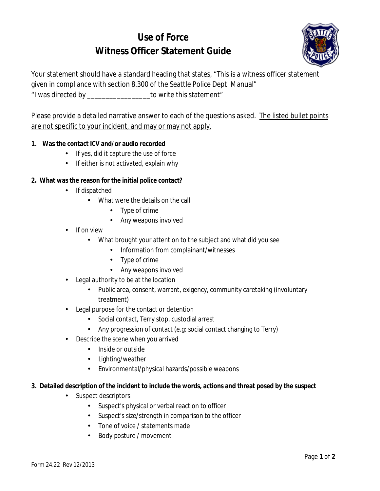# **Use of Force Witness Officer Statement Guide**



Your statement should have a standard heading that states, "This is a witness officer statement

given in compliance with section 8.300 of the Seattle Police Dept. Manual"

"I was directed by \_\_\_\_\_\_\_\_\_\_\_\_\_\_\_\_\_to write this statement"

Please provide a detailed narrative answer to each of the questions asked. The listed bullet points are not specific to your incident, and may or may not apply.

## **1. Was the contact ICV and/or audio recorded**

- If yes, did it capture the use of force
- If either is not activated, explain why

## **2. What was the reason for the initial police contact?**

- If dispatched  $\mathbf{r}$ 
	- What were the details on the call
		- Type of crime  $\mathbf{L}^{\text{max}}$
		- $\mathcal{L}^{\mathcal{L}}$ Any weapons involved
- If on view
	- $\mathbf{r}$ What brought your attention to the subject and what did you see
		- Information from complainant/witnesses  $\mathbf{L}^{\text{max}}$
		- Type of crime
		- Any weapons involved
- Legal authority to be at the location
	- Public area, consent, warrant, exigency, community caretaking (involuntary treatment)
- Legal purpose for the contact or detention
	- Social contact, Terry stop, custodial arrest  $\mathbf{r}$
	- Any progression of contact (e.g: social contact changing to Terry)
- Describe the scene when you arrived
	- . Inside or outside
	- . Lighting/weather
	- $\mathcal{L}^{\text{max}}$ Environmental/physical hazards/possible weapons
- **3. Detailed description of the incident to include the words, actions and threat posed by the suspect**
	- Suspect descriptors
		- Suspect's physical or verbal reaction to officer
		- Suspect's size/strength in comparison to the officer
		- Tone of voice / statements made
		- $\mathcal{L}^{\text{max}}$ Body posture / movement